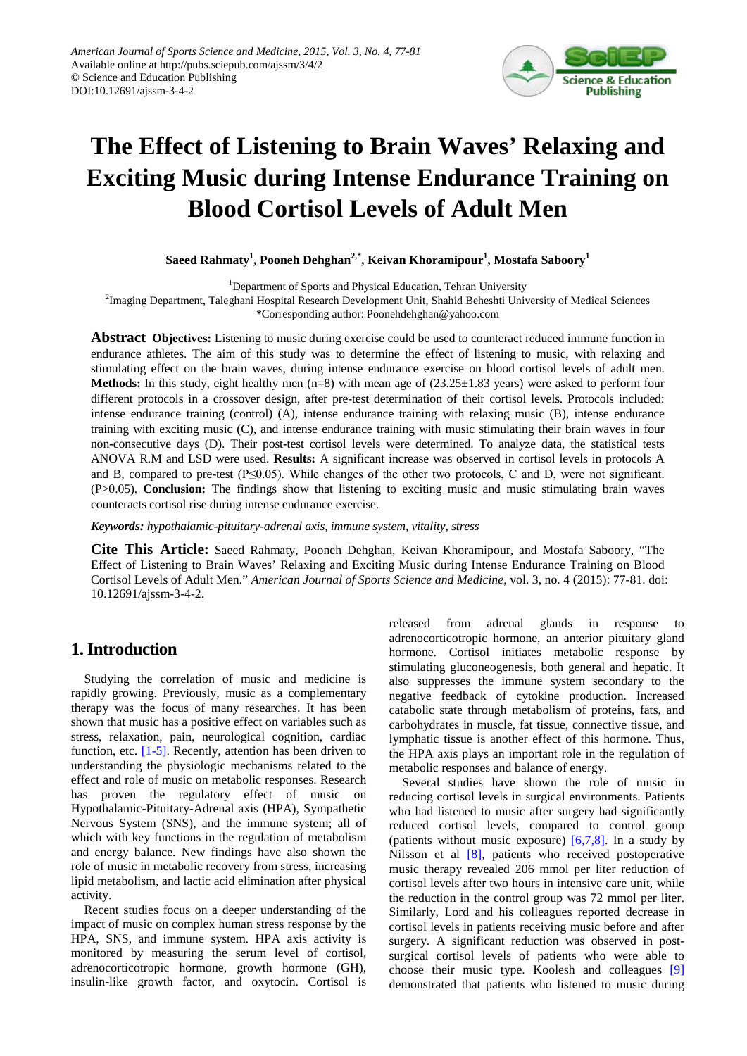

# **The Effect of Listening to Brain Waves' Relaxing and Exciting Music during Intense Endurance Training on Blood Cortisol Levels of Adult Men**

 $\mathbf{S}$ aeed Rahmaty<sup>1</sup>, Pooneh Dehghan<sup>2,\*</sup>, Keivan Khoramipour<sup>1</sup>, Mostafa Saboory<sup>1</sup>

<sup>1</sup>Department of Sports and Physical Education, Tehran University

<sup>2</sup>Imaging Department, Taleghani Hospital Research Development Unit, Shahid Beheshti University of Medical Sciences

\*Corresponding author: Poonehdehghan@yahoo.com

**Abstract Objectives:** Listening to music during exercise could be used to counteract reduced immune function in endurance athletes. The aim of this study was to determine the effect of listening to music, with relaxing and stimulating effect on the brain waves, during intense endurance exercise on blood cortisol levels of adult men. **Methods:** In this study, eight healthy men  $(n=8)$  with mean age of  $(23.25\pm1.83$  years) were asked to perform four different protocols in a crossover design, after pre-test determination of their cortisol levels. Protocols included: intense endurance training (control) (A), intense endurance training with relaxing music (B), intense endurance training with exciting music (C), and intense endurance training with music stimulating their brain waves in four non-consecutive days (D). Their post-test cortisol levels were determined. To analyze data, the statistical tests ANOVA R.M and LSD were used. **Results:** A significant increase was observed in cortisol levels in protocols A and B, compared to pre-test ( $P \le 0.05$ ). While changes of the other two protocols, C and D, were not significant. (P>0.05). **Conclusion:** The findings show that listening to exciting music and music stimulating brain waves counteracts cortisol rise during intense endurance exercise.

*Keywords: hypothalamic-pituitary-adrenal axis, immune system, vitality, stress*

**Cite This Article:** Saeed Rahmaty, Pooneh Dehghan, Keivan Khoramipour, and Mostafa Saboory, "The Effect of Listening to Brain Waves' Relaxing and Exciting Music during Intense Endurance Training on Blood Cortisol Levels of Adult Men." *American Journal of Sports Science and Medicine*, vol. 3, no. 4 (2015): 77-81. doi: 10.12691/ajssm-3-4-2.

# **1. Introduction**

Studying the correlation of music and medicine is rapidly growing. Previously, music as a complementary therapy was the focus of many researches. It has been shown that music has a positive effect on variables such as stress, relaxation, pain, neurological cognition, cardiac function, etc. [\[1-5\].](#page-3-0) Recently, attention has been driven to understanding the physiologic mechanisms related to the effect and role of music on metabolic responses. Research has proven the regulatory effect of music on Hypothalamic-Pituitary-Adrenal axis (HPA), Sympathetic Nervous System (SNS), and the immune system; all of which with key functions in the regulation of metabolism and energy balance. New findings have also shown the role of music in metabolic recovery from stress, increasing lipid metabolism, and lactic acid elimination after physical activity.

Recent studies focus on a deeper understanding of the impact of music on complex human stress response by the HPA, SNS, and immune system. HPA axis activity is monitored by measuring the serum level of cortisol, adrenocorticotropic hormone, growth hormone (GH), insulin-like growth factor, and oxytocin. Cortisol is released from adrenal glands in response to adrenocorticotropic hormone, an anterior pituitary gland hormone. Cortisol initiates metabolic response by stimulating gluconeogenesis, both general and hepatic. It also suppresses the immune system secondary to the negative feedback of cytokine production. Increased catabolic state through metabolism of proteins, fats, and carbohydrates in muscle, fat tissue, connective tissue, and lymphatic tissue is another effect of this hormone. Thus, the HPA axis plays an important role in the regulation of metabolic responses and balance of energy.

Several studies have shown the role of music in reducing cortisol levels in surgical environments. Patients who had listened to music after surgery had significantly reduced cortisol levels, compared to control group (patients without music exposure)  $[6,7,8]$ . In a study by Nilsson et al [\[8\],](#page-3-2) patients who received postoperative music therapy revealed 206 mmol per liter reduction of cortisol levels after two hours in intensive care unit, while the reduction in the control group was 72 mmol per liter. Similarly, Lord and his colleagues reported decrease in cortisol levels in patients receiving music before and after surgery. A significant reduction was observed in postsurgical cortisol levels of patients who were able to choose their music type. Koolesh and colleagues [\[9\]](#page-3-3) demonstrated that patients who listened to music during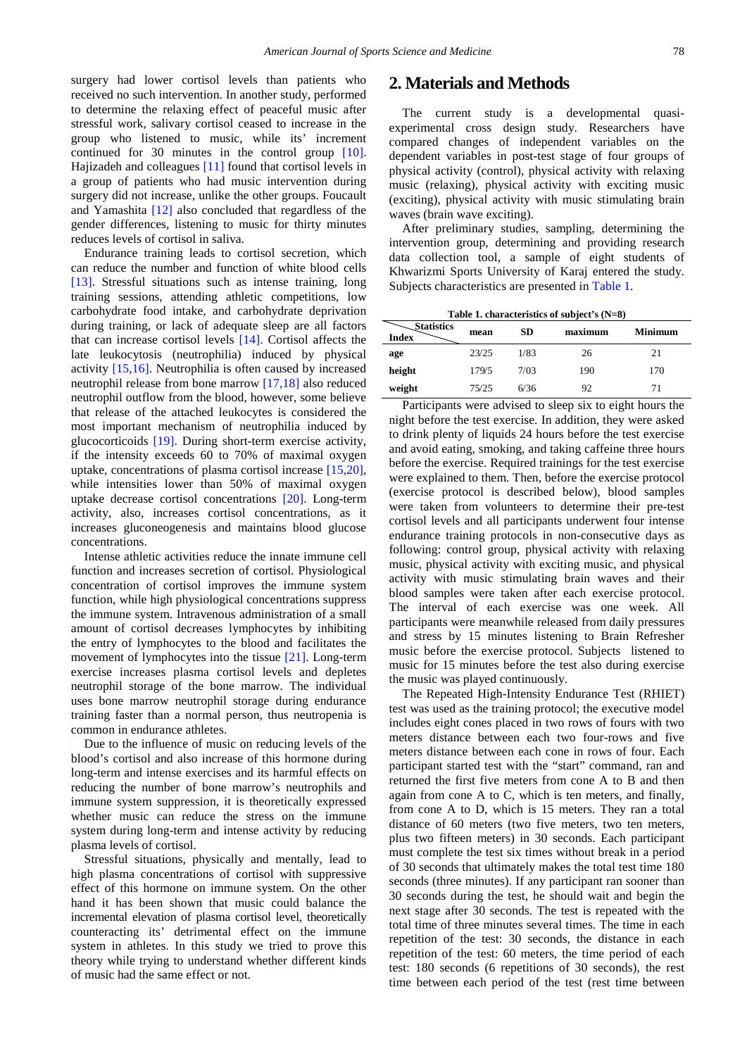surgery had lower cortisol levels than patients who received no such intervention. In another study, performed to determine the relaxing effect of peaceful music after stressful work, salivary cortisol ceased to increase in the group who listened to music, while its' increment continued for 30 minutes in the control group [\[10\].](#page-3-4) Hajizadeh and colleagues [\[11\]](#page-3-5) found that cortisol levels in a group of patients who had music intervention during surgery did not increase, unlike the other groups. Foucault and Yamashita [\[12\]](#page-3-6) also concluded that regardless of the gender differences, listening to music for thirty minutes reduces levels of cortisol in saliva.

Endurance training leads to cortisol secretion, which can reduce the number and function of white blood cells [\[13\].](#page-3-7) Stressful situations such as intense training, long training sessions, attending athletic competitions, low carbohydrate food intake, and carbohydrate deprivation during training, or lack of adequate sleep are all factors that can increase cortisol levels [\[14\].](#page-3-8) Cortisol affects the late leukocytosis (neutrophilia) induced by physical activity [\[15,16\].](#page-3-9) Neutrophilia is often caused by increased neutrophil release from bone marrow [\[17,18\]](#page-4-0) also reduced neutrophil outflow from the blood, however, some believe that release of the attached leukocytes is considered the most important mechanism of neutrophilia induced by glucocorticoids [\[19\].](#page-4-1) During short-term exercise activity, if the intensity exceeds 60 to 70% of maximal oxygen uptake, concentrations of plasma cortisol increase [\[15,20\],](#page-3-9) while intensities lower than 50% of maximal oxygen uptake decrease cortisol concentrations [\[20\].](#page-4-2) Long-term activity, also, increases cortisol concentrations, as it increases gluconeogenesis and maintains blood glucose concentrations.

Intense athletic activities reduce the innate immune cell function and increases secretion of cortisol. Physiological concentration of cortisol improves the immune system function, while high physiological concentrations suppress the immune system. Intravenous administration of a small amount of cortisol decreases lymphocytes by inhibiting the entry of lymphocytes to the blood and facilitates the movement of lymphocytes into the tissue [\[21\].](#page-4-3) Long-term exercise increases plasma cortisol levels and depletes neutrophil storage of the bone marrow. The individual uses bone marrow neutrophil storage during endurance training faster than a normal person, thus neutropenia is common in endurance athletes.

Due to the influence of music on reducing levels of the blood's cortisol and also increase of this hormone during long-term and intense exercises and its harmful effects on reducing the number of bone marrow's neutrophils and immune system suppression, it is theoretically expressed whether music can reduce the stress on the immune system during long-term and intense activity by reducing plasma levels of cortisol.

Stressful situations, physically and mentally, lead to high plasma concentrations of cortisol with suppressive effect of this hormone on immune system. On the other hand it has been shown that music could balance the incremental elevation of plasma cortisol level, theoretically counteracting its' detrimental effect on the immune system in athletes. In this study we tried to prove this theory while trying to understand whether different kinds of music had the same effect or not.

# **2. Materials and Methods**

The current study is a developmental quasiexperimental cross design study. Researchers have compared changes of independent variables on the dependent variables in post-test stage of four groups of physical activity (control), physical activity with relaxing music (relaxing), physical activity with exciting music (exciting), physical activity with music stimulating brain waves (brain wave exciting).

After preliminary studies, sampling, determining the intervention group, determining and providing research data collection tool, a sample of eight students of Khwarizmi Sports University of Karaj entered the study. Subjects characteristics are presented in [Table 1.](#page-1-0)

|            |         |           | Table 1. characteristics of subject's $(N=8)$ |  |
|------------|---------|-----------|-----------------------------------------------|--|
| Statistics | ------- | <b>CD</b> | --- <i>-----------</i>                        |  |

<span id="page-1-0"></span>

| $\sim$ plausules<br><b>Index</b> | mean  | <b>SD</b> | maximum | <b>Minimum</b> |
|----------------------------------|-------|-----------|---------|----------------|
| age                              | 23/25 | 1/83      | 26      | 21             |
| height                           | 179/5 | 7/03      | 190     | 170            |
| weight                           | 75/25 | 6/36      | 92      | 71             |

Participants were advised to sleep six to eight hours the night before the test exercise. In addition, they were asked to drink plenty of liquids 24 hours before the test exercise and avoid eating, smoking, and taking caffeine three hours before the exercise. Required trainings for the test exercise were explained to them. Then, before the exercise protocol (exercise protocol is described below), blood samples were taken from volunteers to determine their pre-test cortisol levels and all participants underwent four intense endurance training protocols in non-consecutive days as following: control group, physical activity with relaxing music, physical activity with exciting music, and physical activity with music stimulating brain waves and their blood samples were taken after each exercise protocol. The interval of each exercise was one week. All participants were meanwhile released from daily pressures and stress by 15 minutes listening to Brain Refresher music before the exercise protocol. Subjects listened to music for 15 minutes before the test also during exercise the music was played continuously.

The Repeated High-Intensity Endurance Test (RHIET) test was used as the training protocol; the executive model includes eight cones placed in two rows of fours with two meters distance between each two four-rows and five meters distance between each cone in rows of four. Each participant started test with the "start" command, ran and returned the first five meters from cone A to B and then again from cone A to C, which is ten meters, and finally, from cone A to D, which is 15 meters. They ran a total distance of 60 meters (two five meters, two ten meters, plus two fifteen meters) in 30 seconds. Each participant must complete the test six times without break in a period of 30 seconds that ultimately makes the total test time 180 seconds (three minutes). If any participant ran sooner than 30 seconds during the test, he should wait and begin the next stage after 30 seconds. The test is repeated with the total time of three minutes several times. The time in each repetition of the test: 30 seconds, the distance in each repetition of the test: 60 meters, the time period of each test: 180 seconds (6 repetitions of 30 seconds), the rest time between each period of the test (rest time between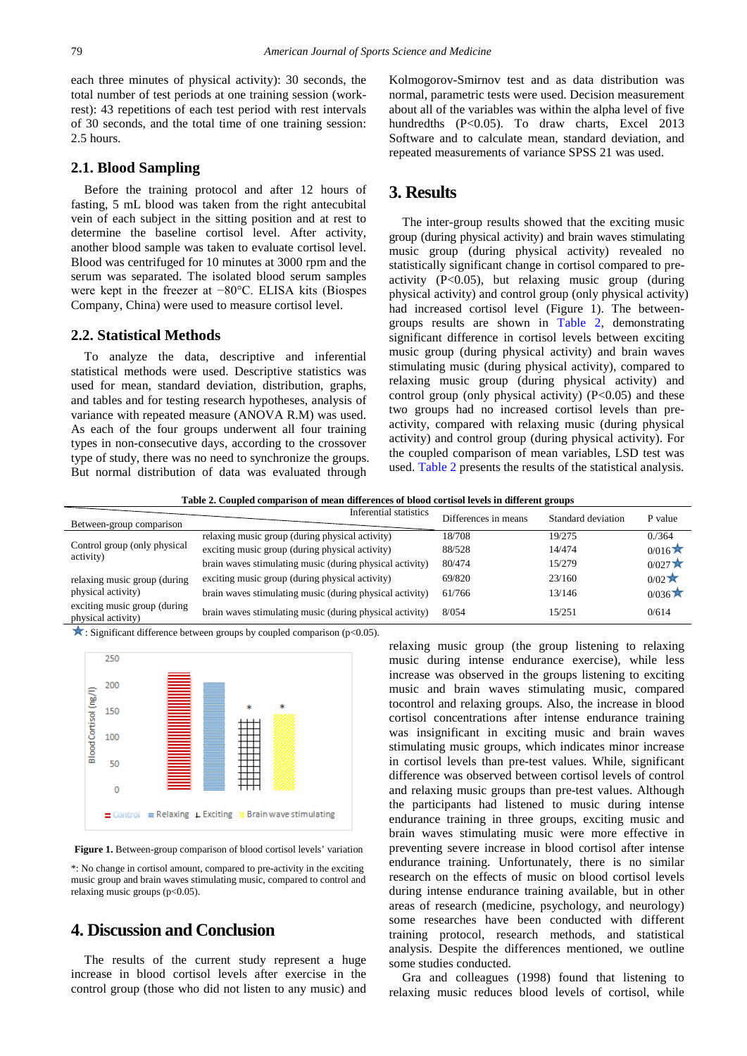#### **2.1. Blood Sampling**

Before the training protocol and after 12 hours of fasting, 5 mL blood was taken from the right antecubital vein of each subject in the sitting position and at rest to determine the baseline cortisol level. After activity, another blood sample was taken to evaluate cortisol level. Blood was centrifuged for 10 minutes at 3000 rpm and the serum was separated. The isolated blood serum samples were kept in the freezer at −80°C. ELISA kits (Biospes Company, China) were used to measure cortisol level.

#### **2.2. Statistical Methods**

To analyze the data, descriptive and inferential statistical methods were used. Descriptive statistics was used for mean, standard deviation, distribution, graphs, and tables and for testing research hypotheses, analysis of variance with repeated measure (ANOVA R.M) was used. As each of the four groups underwent all four training types in non-consecutive days, according to the crossover type of study, there was no need to synchronize the groups. But normal distribution of data was evaluated through

Kolmogorov-Smirnov test and as data distribution was normal, parametric tests were used. Decision measurement about all of the variables was within the alpha level of five hundredths (P<0.05). To draw charts, Excel 2013 Software and to calculate mean, standard deviation, and repeated measurements of variance SPSS 21 was used.

## **3. Results**

The inter-group results showed that the exciting music group (during physical activity) and brain waves stimulating music group (during physical activity) revealed no statistically significant change in cortisol compared to preactivity (P<0.05), but relaxing music group (during physical activity) and control group (only physical activity) had increased cortisol level (Figure 1). The betweengroups results are shown in [Table 2,](#page-2-0) demonstrating significant difference in cortisol levels between exciting music group (during physical activity) and brain waves stimulating music (during physical activity), compared to relaxing music group (during physical activity) and control group (only physical activity)  $(P<0.05)$  and these two groups had no increased cortisol levels than preactivity, compared with relaxing music (during physical activity) and control group (during physical activity). For the coupled comparison of mean variables, LSD test was used. [Table 2](#page-2-0) presents the results of the statistical analysis.

**Table 2. Coupled comparison of mean differences of blood cortisol levels in different groups**

<span id="page-2-0"></span>

| Between-group comparison                           | Inferential statistics                                   | Differences in means | Standard deviation | P value      |
|----------------------------------------------------|----------------------------------------------------------|----------------------|--------------------|--------------|
| Control group (only physical<br>activity)          | relaxing music group (during physical activity)          | 18/708               | 19/275             | 0. / 364     |
|                                                    | exciting music group (during physical activity)          | 88/528               | 14/474             | 0/016        |
|                                                    | brain waves stimulating music (during physical activity) | 80/474               | 15/279             | 0/027        |
| relaxing music group (during<br>physical activity) | exciting music group (during physical activity)          | 69/820               | 23/160             | $0/02 \star$ |
|                                                    | brain waves stimulating music (during physical activity) | 61/766               | 13/146             | 0/036        |
| exciting music group (during<br>physical activity) | brain waves stimulating music (during physical activity) | 8/054                | 15/251             | 0/614        |

 $\star$ : Significant difference between groups by coupled comparison (p<0.05).



**Figure 1.** Between-group comparison of blood cortisol levels' variation

\*: No change in cortisol amount, compared to pre-activity in the exciting music group and brain waves stimulating music, compared to control and relaxing music groups (p<0.05).

# **4. Discussion and Conclusion**

The results of the current study represent a huge increase in blood cortisol levels after exercise in the control group (those who did not listen to any music) and relaxing music group (the group listening to relaxing music during intense endurance exercise), while less increase was observed in the groups listening to exciting music and brain waves stimulating music, compared tocontrol and relaxing groups. Also, the increase in blood cortisol concentrations after intense endurance training was insignificant in exciting music and brain waves stimulating music groups, which indicates minor increase in cortisol levels than pre-test values. While, significant difference was observed between cortisol levels of control and relaxing music groups than pre-test values. Although the participants had listened to music during intense endurance training in three groups, exciting music and brain waves stimulating music were more effective in preventing severe increase in blood cortisol after intense endurance training. Unfortunately, there is no similar research on the effects of music on blood cortisol levels during intense endurance training available, but in other areas of research (medicine, psychology, and neurology) some researches have been conducted with different training protocol, research methods, and statistical analysis. Despite the differences mentioned, we outline some studies conducted.

Gra and colleagues (1998) found that listening to relaxing music reduces blood levels of cortisol, while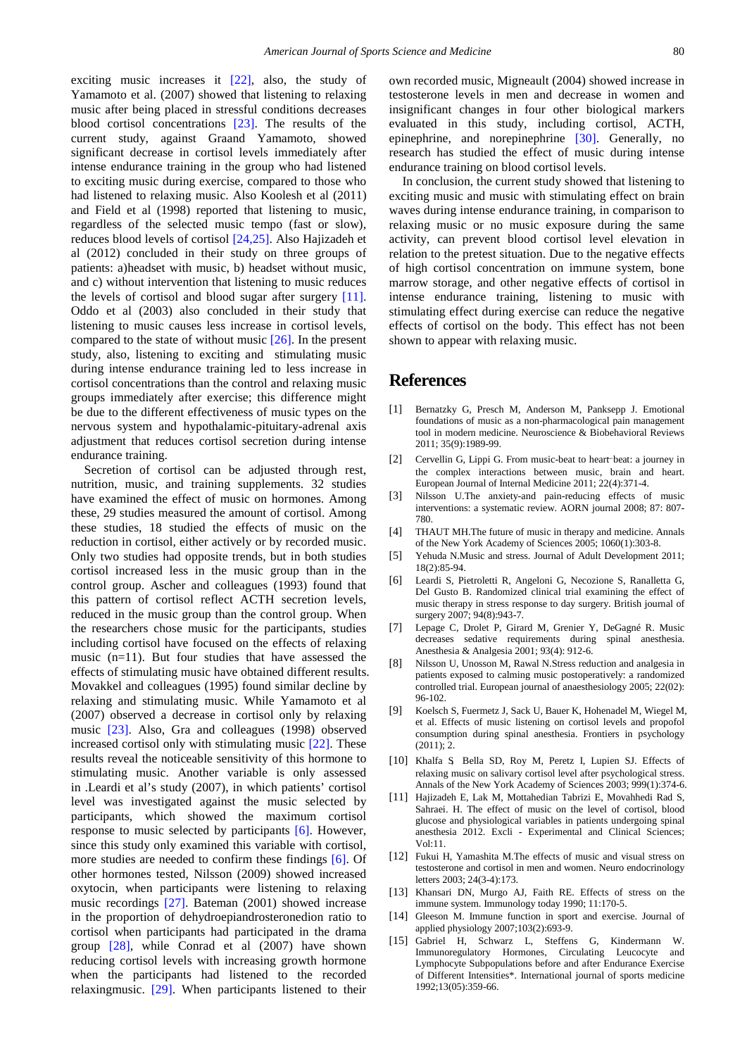exciting music increases it [\[22\],](#page-4-4) also, the study of Yamamoto et al. (2007) showed that listening to relaxing music after being placed in stressful conditions decreases blood cortisol concentrations [\[23\].](#page-4-5) The results of the current study, against Graand Yamamoto, showed significant decrease in cortisol levels immediately after intense endurance training in the group who had listened to exciting music during exercise, compared to those who had listened to relaxing music. Also Koolesh et al (2011) and Field et al (1998) reported that listening to music, regardless of the selected music tempo (fast or slow), reduces blood levels of cortisol [\[24,25\].](#page-4-6) Also Hajizadeh et al (2012) concluded in their study on three groups of patients: a)headset with music, b) headset without music, and c) without intervention that listening to music reduces the levels of cortisol and blood sugar after surgery [\[11\].](#page-3-5) Oddo et al (2003) also concluded in their study that listening to music causes less increase in cortisol levels, compared to the state of without music [\[26\].](#page-4-7) In the present study, also, listening to exciting and stimulating music during intense endurance training led to less increase in cortisol concentrations than the control and relaxing music groups immediately after exercise; this difference might be due to the different effectiveness of music types on the nervous system and hypothalamic-pituitary-adrenal axis adjustment that reduces cortisol secretion during intense endurance training.

Secretion of cortisol can be adjusted through rest, nutrition, music, and training supplements. 32 studies have examined the effect of music on hormones. Among these, 29 studies measured the amount of cortisol. Among these studies, 18 studied the effects of music on the reduction in cortisol, either actively or by recorded music. Only two studies had opposite trends, but in both studies cortisol increased less in the music group than in the control group. Ascher and colleagues (1993) found that this pattern of cortisol reflect ACTH secretion levels, reduced in the music group than the control group. When the researchers chose music for the participants, studies including cortisol have focused on the effects of relaxing music (n=11). But four studies that have assessed the effects of stimulating music have obtained different results. Movakkel and colleagues (1995) found similar decline by relaxing and stimulating music. While Yamamoto et al (2007) observed a decrease in cortisol only by relaxing music [\[23\].](#page-4-5) Also, Gra and colleagues (1998) observed increased cortisol only with stimulating music [\[22\].](#page-4-4) These results reveal the noticeable sensitivity of this hormone to stimulating music. Another variable is only assessed in .Leardi et al's study (2007), in which patients' cortisol level was investigated against the music selected by participants, which showed the maximum cortisol response to music selected by participants [\[6\].](#page-3-1) However, since this study only examined this variable with cortisol, more studies are needed to confirm these findings [\[6\].](#page-3-1) Of other hormones tested, Nilsson (2009) showed increased oxytocin, when participants were listening to relaxing music recordings [\[27\].](#page-4-8) Bateman (2001) showed increase in the proportion of dehydroepiandrosteronedion ratio to cortisol when participants had participated in the drama group [\[28\],](#page-4-9) while Conrad et al (2007) have shown reducing cortisol levels with increasing growth hormone when the participants had listened to the recorded relaxingmusic. [\[29\].](#page-4-10) When participants listened to their

own recorded music, Migneault (2004) showed increase in testosterone levels in men and decrease in women and insignificant changes in four other biological markers evaluated in this study, including cortisol, ACTH, epinephrine, and norepinephrine [\[30\].](#page-4-11) Generally, no research has studied the effect of music during intense endurance training on blood cortisol levels.

In conclusion, the current study showed that listening to exciting music and music with stimulating effect on brain waves during intense endurance training, in comparison to relaxing music or no music exposure during the same activity, can prevent blood cortisol level elevation in relation to the pretest situation. Due to the negative effects of high cortisol concentration on immune system, bone marrow storage, and other negative effects of cortisol in intense endurance training, listening to music with stimulating effect during exercise can reduce the negative effects of cortisol on the body. This effect has not been shown to appear with relaxing music.

## **References**

- <span id="page-3-0"></span>[1] Bernatzky G, Presch M, Anderson M, Panksepp J. Emotional foundations of music as a non-pharmacological pain management tool in modern medicine. Neuroscience & Biobehavioral Reviews 2011; 35(9):1989-99.
- [2] Cervellin G, Lippi G. From music-beat to heart-beat: a journey in the complex interactions between music, brain and heart. European Journal of Internal Medicine 2011; 22(4):371-4.
- [3] Nilsson U.The anxiety-and pain-reducing effects of music interventions: a systematic review. AORN journal 2008; 87: 807- 780.
- [4] THAUT MH.The future of music in therapy and medicine. Annals of the New York Academy of Sciences 2005; 1060(1):303-8.
- [5] Yehuda N.Music and stress. Journal of Adult Development 2011; 18(2):85-94.
- <span id="page-3-1"></span>[6] Leardi S, Pietroletti R, Angeloni G, Necozione S, Ranalletta G, Del Gusto B. Randomized clinical trial examining the effect of music therapy in stress response to day surgery. British journal of surgery 2007; 94(8): 943-7.
- [7] Lepage C, Drolet P, Girard M, Grenier Y, DeGagné R. Music decreases sedative requirements during spinal anesthesia. Anesthesia & Analgesia 2001; 93(4): 912-6.
- <span id="page-3-2"></span>[8] Nilsson U, Unosson M, Rawal N.Stress reduction and analgesia in patients exposed to calming music postoperatively: a randomized controlled trial. European journal of anaesthesiology 2005; 22(02): 96-102.
- <span id="page-3-3"></span>[9] Koelsch S, Fuermetz J, Sack U, Bauer K, Hohenadel M, Wiegel M, et al. Effects of music listening on cortisol levels and propofol consumption during spinal anesthesia. Frontiers in psychology  $(2011); 2.$
- <span id="page-3-4"></span>[10] Khalfa S, Bella SD, Roy M, Peretz I, Lupien SJ, Effects of relaxing music on salivary cortisol level after psychological stress. Annals of the New York Academy of Sciences 2003; 999(1):374-6.
- <span id="page-3-5"></span>[11] Hajizadeh E, Lak M, Mottahedian Tabrizi E, Movahhedi Rad S, Sahraei. H. The effect of music on the level of cortisol, blood glucose and physiological variables in patients undergoing spinal anesthesia 2012. Excli - Experimental and Clinical Sciences; Vol:11.
- <span id="page-3-6"></span>[12] Fukui H, Yamashita M.The effects of music and visual stress on testosterone and cortisol in men and women. Neuro endocrinology letters 2003; 24(3-4):173.
- <span id="page-3-7"></span>[13] Khansari DN, Murgo AJ, Faith RE. Effects of stress on the immune system. Immunology today 1990; 11:170-5.
- <span id="page-3-8"></span>[14] Gleeson M. Immune function in sport and exercise. Journal of applied physiology 2007;103(2):693-9.
- <span id="page-3-9"></span>[15] Gabriel H, Schwarz L, Steffens G, Kindermann W. Immunoregulatory Hormones, Circulating Leucocyte and Lymphocyte Subpopulations before and after Endurance Exercise of Different Intensities\*. International journal of sports medicine 1992;13(05):359-66.